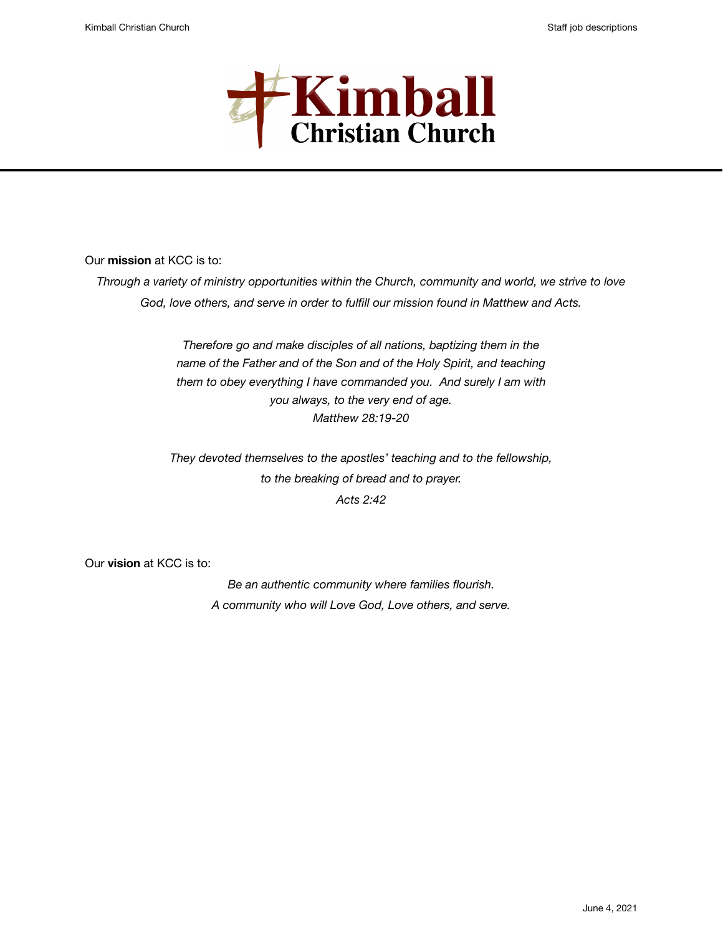

Our **mission** at KCC is to:

*Through a variety of ministry opportunities within the Church, community and world, we strive to love God, love others, and serve in order to fulfill our mission found in Matthew and Acts.* 

> *Therefore go and make disciples of all nations, baptizing them in the name of the Father and of the Son and of the Holy Spirit, and teaching them to obey everything I have commanded you. And surely I am with you always, to the very end of age. Matthew 28:19-20*

*They devoted themselves to the apostles' teaching and to the fellowship, to the breaking of bread and to prayer. Acts 2:42* 

Our **vision** at KCC is to:

*Be an authentic community where families flourish. A community who will Love God, Love others, and serve.*